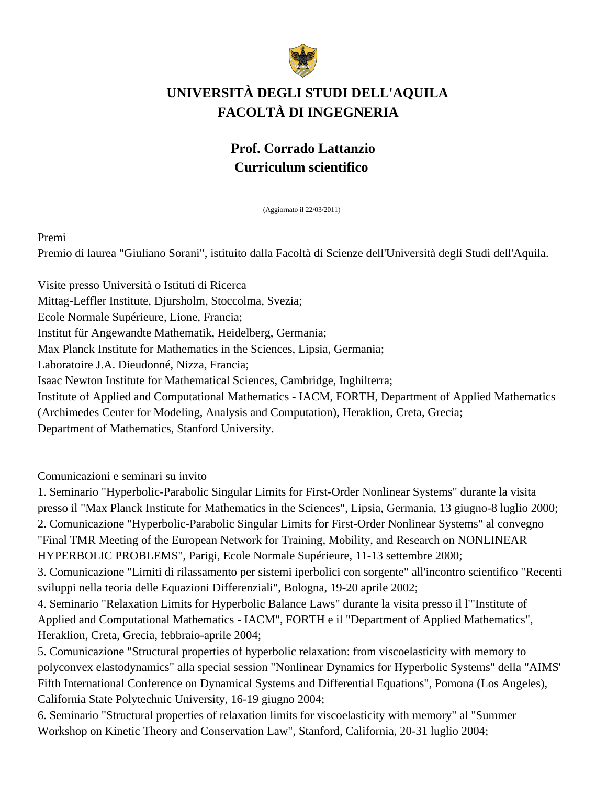

# **UNIVERSITÀ DEGLI STUDI DELL'AQUILA FACOLTÀ DI INGEGNERIA**

# **Prof. Corrado Lattanzio Curriculum scientifico**

(Aggiornato il 22/03/2011)

Premi

Premio di laurea "Giuliano Sorani", istituito dalla Facoltà di Scienze dell'Università degli Studi dell'Aquila.

Visite presso Università o Istituti di Ricerca Mittag-Leffler Institute, Djursholm, Stoccolma, Svezia; Ecole Normale Supérieure, Lione, Francia; Institut für Angewandte Mathematik, Heidelberg, Germania; Max Planck Institute for Mathematics in the Sciences, Lipsia, Germania; Laboratoire J.A. Dieudonné, Nizza, Francia; Isaac Newton Institute for Mathematical Sciences, Cambridge, Inghilterra; Institute of Applied and Computational Mathematics - IACM, FORTH, Department of Applied Mathematics (Archimedes Center for Modeling, Analysis and Computation), Heraklion, Creta, Grecia; Department of Mathematics, Stanford University.

Comunicazioni e seminari su invito

1. Seminario "Hyperbolic-Parabolic Singular Limits for First-Order Nonlinear Systems" durante la visita presso il "Max Planck Institute for Mathematics in the Sciences", Lipsia, Germania, 13 giugno-8 luglio 2000; 2. Comunicazione "Hyperbolic-Parabolic Singular Limits for First-Order Nonlinear Systems" al convegno "Final TMR Meeting of the European Network for Training, Mobility, and Research on NONLINEAR HYPERBOLIC PROBLEMS", Parigi, Ecole Normale Supérieure, 11-13 settembre 2000;

3. Comunicazione "Limiti di rilassamento per sistemi iperbolici con sorgente" all'incontro scientifico "Recenti sviluppi nella teoria delle Equazioni Differenziali", Bologna, 19-20 aprile 2002;

4. Seminario "Relaxation Limits for Hyperbolic Balance Laws" durante la visita presso il l'"Institute of Applied and Computational Mathematics - IACM", FORTH e il "Department of Applied Mathematics", Heraklion, Creta, Grecia, febbraio-aprile 2004;

5. Comunicazione "Structural properties of hyperbolic relaxation: from viscoelasticity with memory to polyconvex elastodynamics" alla special session "Nonlinear Dynamics for Hyperbolic Systems" della "AIMS' Fifth International Conference on Dynamical Systems and Differential Equations", Pomona (Los Angeles), California State Polytechnic University, 16-19 giugno 2004;

6. Seminario "Structural properties of relaxation limits for viscoelasticity with memory" al "Summer Workshop on Kinetic Theory and Conservation Law", Stanford, California, 20-31 luglio 2004;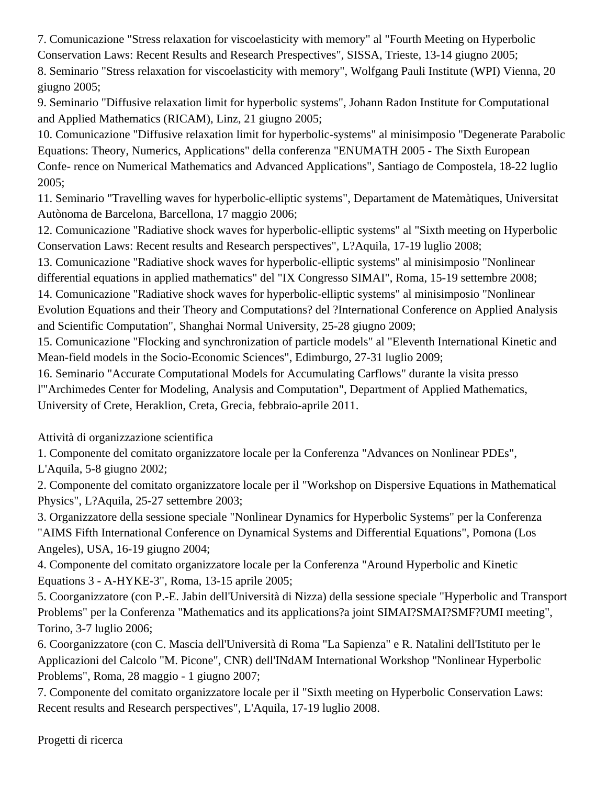7. Comunicazione "Stress relaxation for viscoelasticity with memory" al "Fourth Meeting on Hyperbolic Conservation Laws: Recent Results and Research Prespectives", SISSA, Trieste, 13-14 giugno 2005;

8. Seminario "Stress relaxation for viscoelasticity with memory", Wolfgang Pauli Institute (WPI) Vienna, 20 giugno 2005;

9. Seminario "Diffusive relaxation limit for hyperbolic systems", Johann Radon Institute for Computational and Applied Mathematics (RICAM), Linz, 21 giugno 2005;

10. Comunicazione "Diffusive relaxation limit for hyperbolic-systems" al minisimposio "Degenerate Parabolic Equations: Theory, Numerics, Applications" della conferenza "ENUMATH 2005 - The Sixth European Confe- rence on Numerical Mathematics and Advanced Applications", Santiago de Compostela, 18-22 luglio 2005;

11. Seminario "Travelling waves for hyperbolic-elliptic systems", Departament de Matemàtiques, Universitat Autònoma de Barcelona, Barcellona, 17 maggio 2006;

12. Comunicazione "Radiative shock waves for hyperbolic-elliptic systems" al "Sixth meeting on Hyperbolic Conservation Laws: Recent results and Research perspectives", L?Aquila, 17-19 luglio 2008;

13. Comunicazione "Radiative shock waves for hyperbolic-elliptic systems" al minisimposio "Nonlinear differential equations in applied mathematics" del "IX Congresso SIMAI", Roma, 15-19 settembre 2008; 14. Comunicazione "Radiative shock waves for hyperbolic-elliptic systems" al minisimposio "Nonlinear

Evolution Equations and their Theory and Computations? del ?International Conference on Applied Analysis and Scientific Computation", Shanghai Normal University, 25-28 giugno 2009;

15. Comunicazione "Flocking and synchronization of particle models" al "Eleventh International Kinetic and Mean-field models in the Socio-Economic Sciences", Edimburgo, 27-31 luglio 2009;

16. Seminario "Accurate Computational Models for Accumulating Carflows" durante la visita presso l'"Archimedes Center for Modeling, Analysis and Computation", Department of Applied Mathematics, University of Crete, Heraklion, Creta, Grecia, febbraio-aprile 2011.

Attività di organizzazione scientifica

1. Componente del comitato organizzatore locale per la Conferenza "Advances on Nonlinear PDEs", L'Aquila, 5-8 giugno 2002;

2. Componente del comitato organizzatore locale per il "Workshop on Dispersive Equations in Mathematical Physics", L?Aquila, 25-27 settembre 2003;

3. Organizzatore della sessione speciale "Nonlinear Dynamics for Hyperbolic Systems" per la Conferenza "AIMS Fifth International Conference on Dynamical Systems and Differential Equations", Pomona (Los Angeles), USA, 16-19 giugno 2004;

4. Componente del comitato organizzatore locale per la Conferenza "Around Hyperbolic and Kinetic Equations 3 - A-HYKE-3", Roma, 13-15 aprile 2005;

5. Coorganizzatore (con P.-E. Jabin dell'Università di Nizza) della sessione speciale "Hyperbolic and Transport Problems" per la Conferenza "Mathematics and its applications?a joint SIMAI?SMAI?SMF?UMI meeting", Torino, 3-7 luglio 2006;

6. Coorganizzatore (con C. Mascia dell'Università di Roma "La Sapienza" e R. Natalini dell'Istituto per le Applicazioni del Calcolo "M. Picone", CNR) dell'INdAM International Workshop "Nonlinear Hyperbolic Problems", Roma, 28 maggio - 1 giugno 2007;

7. Componente del comitato organizzatore locale per il "Sixth meeting on Hyperbolic Conservation Laws: Recent results and Research perspectives", L'Aquila, 17-19 luglio 2008.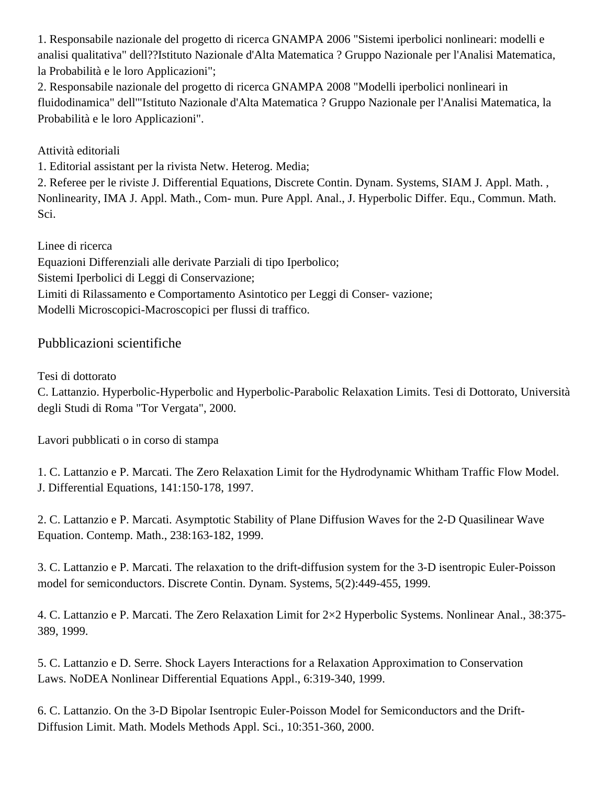1. Responsabile nazionale del progetto di ricerca GNAMPA 2006 "Sistemi iperbolici nonlineari: modelli e analisi qualitativa" dell??Istituto Nazionale d'Alta Matematica ? Gruppo Nazionale per l'Analisi Matematica, la Probabilità e le loro Applicazioni";

2. Responsabile nazionale del progetto di ricerca GNAMPA 2008 "Modelli iperbolici nonlineari in fluidodinamica" dell'"Istituto Nazionale d'Alta Matematica ? Gruppo Nazionale per l'Analisi Matematica, la Probabilità e le loro Applicazioni".

### Attività editoriali

1. Editorial assistant per la rivista Netw. Heterog. Media;

2. Referee per le riviste J. Differential Equations, Discrete Contin. Dynam. Systems, SIAM J. Appl. Math. , Nonlinearity, IMA J. Appl. Math., Com- mun. Pure Appl. Anal., J. Hyperbolic Differ. Equ., Commun. Math. Sci.

Linee di ricerca

Equazioni Differenziali alle derivate Parziali di tipo Iperbolico;

Sistemi Iperbolici di Leggi di Conservazione;

Limiti di Rilassamento e Comportamento Asintotico per Leggi di Conser- vazione;

Modelli Microscopici-Macroscopici per flussi di traffico.

## Pubblicazioni scientifiche

Tesi di dottorato

C. Lattanzio. Hyperbolic-Hyperbolic and Hyperbolic-Parabolic Relaxation Limits. Tesi di Dottorato, Università degli Studi di Roma "Tor Vergata", 2000.

Lavori pubblicati o in corso di stampa

1. C. Lattanzio e P. Marcati. The Zero Relaxation Limit for the Hydrodynamic Whitham Traffic Flow Model. J. Differential Equations, 141:150-178, 1997.

2. C. Lattanzio e P. Marcati. Asymptotic Stability of Plane Diffusion Waves for the 2-D Quasilinear Wave Equation. Contemp. Math., 238:163-182, 1999.

3. C. Lattanzio e P. Marcati. The relaxation to the drift-diffusion system for the 3-D isentropic Euler-Poisson model for semiconductors. Discrete Contin. Dynam. Systems, 5(2):449-455, 1999.

4. C. Lattanzio e P. Marcati. The Zero Relaxation Limit for 2×2 Hyperbolic Systems. Nonlinear Anal., 38:375- 389, 1999.

5. C. Lattanzio e D. Serre. Shock Layers Interactions for a Relaxation Approximation to Conservation Laws. NoDEA Nonlinear Differential Equations Appl., 6:319-340, 1999.

6. C. Lattanzio. On the 3-D Bipolar Isentropic Euler-Poisson Model for Semiconductors and the Drift-Diffusion Limit. Math. Models Methods Appl. Sci., 10:351-360, 2000.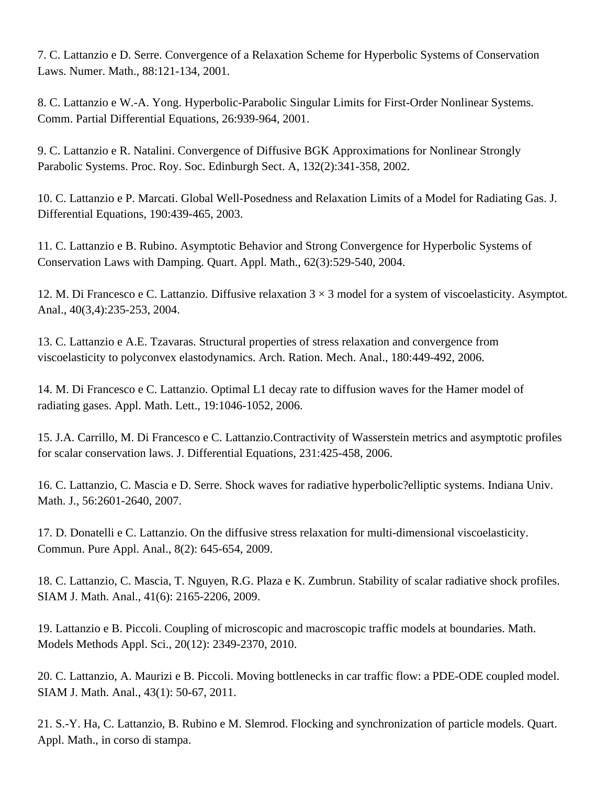7. C. Lattanzio e D. Serre. Convergence of a Relaxation Scheme for Hyperbolic Systems of Conservation Laws. Numer. Math., 88:121-134, 2001.

8. C. Lattanzio e W.-A. Yong. Hyperbolic-Parabolic Singular Limits for First-Order Nonlinear Systems. Comm. Partial Differential Equations, 26:939-964, 2001.

9. C. Lattanzio e R. Natalini. Convergence of Diffusive BGK Approximations for Nonlinear Strongly Parabolic Systems. Proc. Roy. Soc. Edinburgh Sect. A, 132(2):341-358, 2002.

10. C. Lattanzio e P. Marcati. Global Well-Posedness and Relaxation Limits of a Model for Radiating Gas. J. Differential Equations, 190:439-465, 2003.

11. C. Lattanzio e B. Rubino. Asymptotic Behavior and Strong Convergence for Hyperbolic Systems of Conservation Laws with Damping. Quart. Appl. Math., 62(3):529-540, 2004.

12. M. Di Francesco e C. Lattanzio. Diffusive relaxation  $3 \times 3$  model for a system of viscoelasticity. Asymptot. Anal., 40(3,4):235-253, 2004.

13. C. Lattanzio e A.E. Tzavaras. Structural properties of stress relaxation and convergence from viscoelasticity to polyconvex elastodynamics. Arch. Ration. Mech. Anal., 180:449-492, 2006.

14. M. Di Francesco e C. Lattanzio. Optimal L1 decay rate to diffusion waves for the Hamer model of radiating gases. Appl. Math. Lett., 19:1046-1052, 2006.

15. J.A. Carrillo, M. Di Francesco e C. Lattanzio.Contractivity of Wasserstein metrics and asymptotic profiles for scalar conservation laws. J. Differential Equations, 231:425-458, 2006.

16. C. Lattanzio, C. Mascia e D. Serre. Shock waves for radiative hyperbolic?elliptic systems. Indiana Univ. Math. J., 56:2601-2640, 2007.

17. D. Donatelli e C. Lattanzio. On the diffusive stress relaxation for multi-dimensional viscoelasticity. Commun. Pure Appl. Anal., 8(2): 645-654, 2009.

18. C. Lattanzio, C. Mascia, T. Nguyen, R.G. Plaza e K. Zumbrun. Stability of scalar radiative shock profiles. SIAM J. Math. Anal., 41(6): 2165-2206, 2009.

19. Lattanzio e B. Piccoli. Coupling of microscopic and macroscopic traffic models at boundaries. Math. Models Methods Appl. Sci., 20(12): 2349-2370, 2010.

20. C. Lattanzio, A. Maurizi e B. Piccoli. Moving bottlenecks in car traffic flow: a PDE-ODE coupled model. SIAM J. Math. Anal., 43(1): 50-67, 2011.

21. S.-Y. Ha, C. Lattanzio, B. Rubino e M. Slemrod. Flocking and synchronization of particle models. Quart. Appl. Math., in corso di stampa.